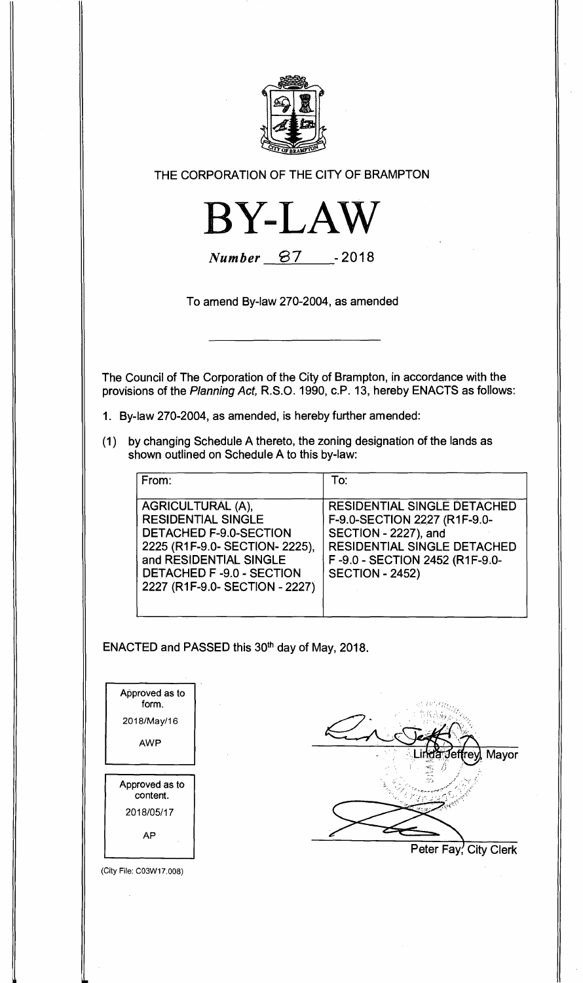

**THE CORPORATION OF THE CITY OF BRAMPTON** 



**Number 87** - 2018

**To amend By-law 270-2004, as amended** 

**The Council of The Corporation of the City of Brampton, in accordance with the provisions of the** Planning Act, **R.S.O. 1990, c.P. 13, hereby ENACTS as follows:** 

- **1. By-law 270-2004, as amended, is hereby further amended:**
- **(1) by changing Schedule A thereto, the zoning designation of the lands as shown outlined on Schedule A to this by-law:**

| From:                                                                                                                                                                                                     | To:                                                                                                                                                                            |
|-----------------------------------------------------------------------------------------------------------------------------------------------------------------------------------------------------------|--------------------------------------------------------------------------------------------------------------------------------------------------------------------------------|
| AGRICULTURAL (A),<br><b>RESIDENTIAL SINGLE</b><br><b>DETACHED F-9.0-SECTION</b><br>2225 (R1F-9.0- SECTION- 2225),<br>and RESIDENTIAL SINGLE<br>DETACHED F-9.0 - SECTION<br>2227 (R1F-9.0- SECTION - 2227) | RESIDENTIAL SINGLE DETACHED<br>F-9.0-SECTION 2227 (R1F-9.0-<br>SECTION - 2227), and<br>RESIDENTIAL SINGLE DETACHED<br>F-9.0 - SECTION 2452 (R1F-9.0-<br><b>SECTION - 2452)</b> |

ENACTED and PASSED this 30<sup>th</sup> day of May, 2018.

| Approved as to<br>form. |  |
|-------------------------|--|
| 2018/May/16             |  |
| AWP                     |  |
|                         |  |
| Approved as to          |  |
| content.                |  |
| 2018/05/17              |  |



**Peter Fay, City Clerk** 

(City File: CO3W17.008)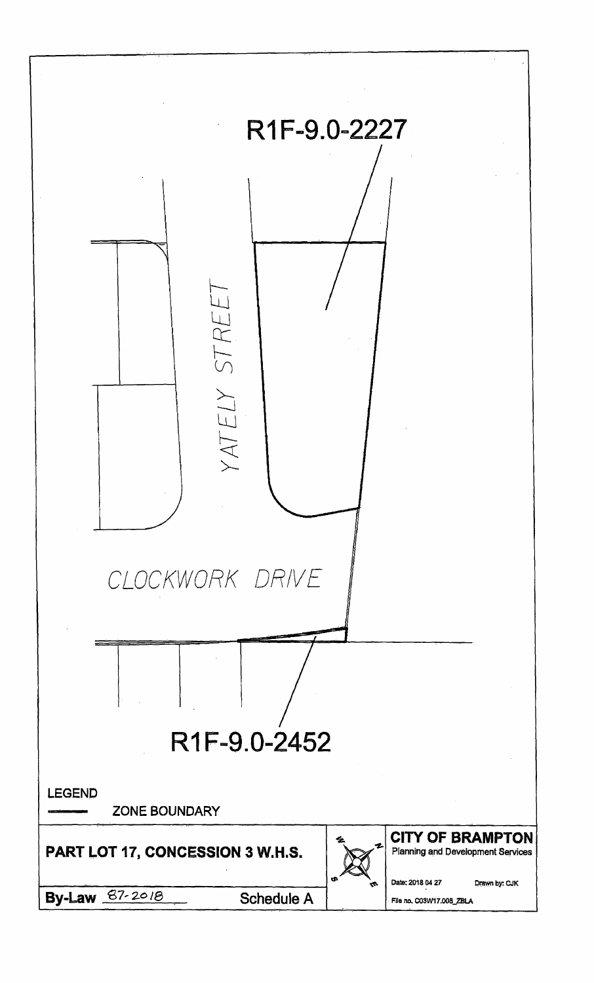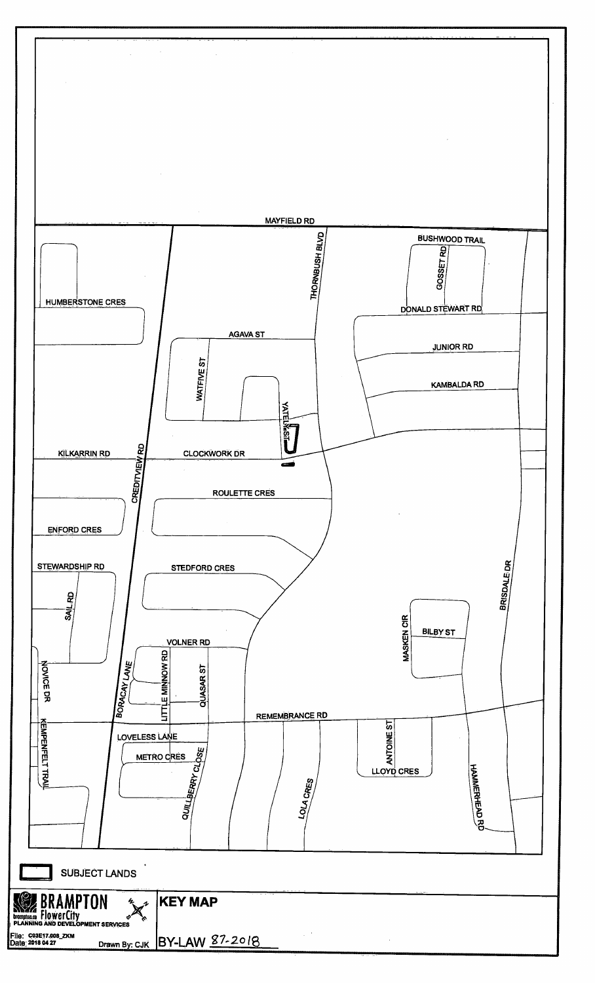